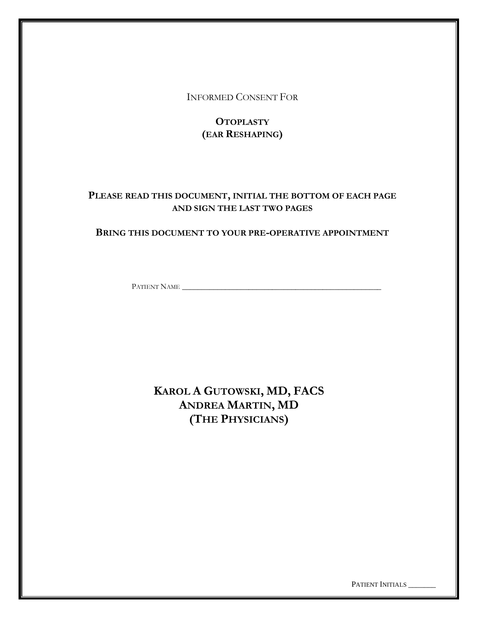INFORMED CONSENT FOR

# **OTOPLASTY (EAR RESHAPING)**

## **PLEASE READ THIS DOCUMENT, INITIAL THE BOTTOM OF EACH PAGE AND SIGN THE LAST TWO PAGES**

### **BRING THIS DOCUMENT TO YOUR PRE-OPERATIVE APPOINTMENT**

PATIENT NAME \_\_\_\_\_\_\_\_\_\_\_\_\_\_\_\_\_\_\_\_\_\_\_\_\_\_\_\_\_\_\_\_\_\_\_\_\_\_\_\_\_\_\_\_\_\_\_\_\_\_\_

# **KAROL A GUTOWSKI, MD, FACS ANDREA MARTIN, MD (THE PHYSICIANS)**

PATIENT INITIALS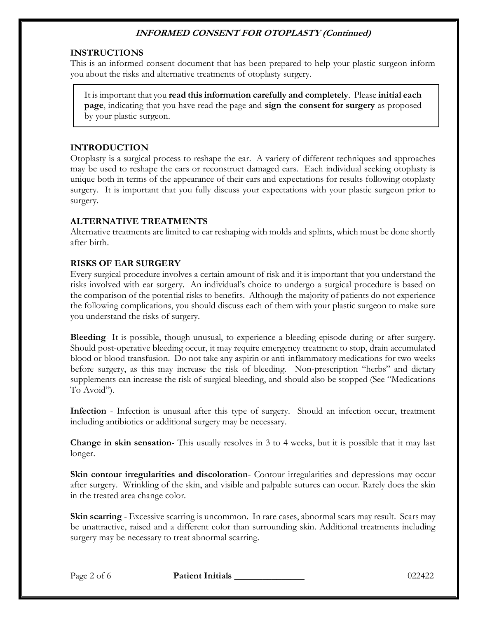#### **INSTRUCTIONS**

This is an informed consent document that has been prepared to help your plastic surgeon inform you about the risks and alternative treatments of otoplasty surgery.

It is important that you **read this information carefully and completely**. Please **initial each page**, indicating that you have read the page and **sign the consent for surgery** as proposed by your plastic surgeon.

#### **INTRODUCTION**

Otoplasty is a surgical process to reshape the ear. A variety of different techniques and approaches may be used to reshape the ears or reconstruct damaged ears. Each individual seeking otoplasty is unique both in terms of the appearance of their ears and expectations for results following otoplasty surgery. It is important that you fully discuss your expectations with your plastic surgeon prior to surgery.

#### **ALTERNATIVE TREATMENTS**

Alternative treatments are limited to ear reshaping with molds and splints, which must be done shortly after birth.

#### **RISKS OF EAR SURGERY**

Every surgical procedure involves a certain amount of risk and it is important that you understand the risks involved with ear surgery. An individual's choice to undergo a surgical procedure is based on the comparison of the potential risks to benefits. Although the majority of patients do not experience the following complications, you should discuss each of them with your plastic surgeon to make sure you understand the risks of surgery.

**Bleeding**- It is possible, though unusual, to experience a bleeding episode during or after surgery. Should post-operative bleeding occur, it may require emergency treatment to stop, drain accumulated blood or blood transfusion. Do not take any aspirin or anti-inflammatory medications for two weeks before surgery, as this may increase the risk of bleeding. Non-prescription "herbs" and dietary supplements can increase the risk of surgical bleeding, and should also be stopped (See "Medications To Avoid").

**Infection** - Infection is unusual after this type of surgery. Should an infection occur, treatment including antibiotics or additional surgery may be necessary.

**Change in skin sensation**- This usually resolves in 3 to 4 weeks, but it is possible that it may last longer.

**Skin contour irregularities and discoloration**- Contour irregularities and depressions may occur after surgery. Wrinkling of the skin, and visible and palpable sutures can occur. Rarely does the skin in the treated area change color.

**Skin scarring** - Excessive scarring is uncommon. In rare cases, abnormal scars may result. Scars may be unattractive, raised and a different color than surrounding skin. Additional treatments including surgery may be necessary to treat abnormal scarring.

Page 2 of 6 **Patient Initials 1996 Page 2 of 6** 022422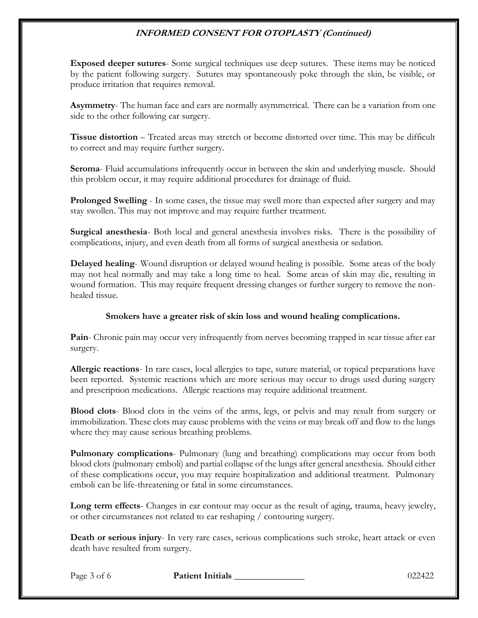**Exposed deeper sutures**- Some surgical techniques use deep sutures. These items may be noticed by the patient following surgery. Sutures may spontaneously poke through the skin, be visible, or produce irritation that requires removal.

**Asymmetry**- The human face and ears are normally asymmetrical. There can be a variation from one side to the other following ear surgery.

**Tissue distortion** – Treated areas may stretch or become distorted over time. This may be difficult to correct and may require further surgery.

**Seroma**- Fluid accumulations infrequently occur in between the skin and underlying muscle. Should this problem occur, it may require additional procedures for drainage of fluid.

**Prolonged Swelling** - In some cases, the tissue may swell more than expected after surgery and may stay swollen. This may not improve and may require further treatment.

**Surgical anesthesia**- Both local and general anesthesia involves risks. There is the possibility of complications, injury, and even death from all forms of surgical anesthesia or sedation.

**Delayed healing**- Wound disruption or delayed wound healing is possible. Some areas of the body may not heal normally and may take a long time to heal. Some areas of skin may die, resulting in wound formation. This may require frequent dressing changes or further surgery to remove the nonhealed tissue.

#### **Smokers have a greater risk of skin loss and wound healing complications.**

**Pain**- Chronic pain may occur very infrequently from nerves becoming trapped in scar tissue after ear surgery.

**Allergic reactions**- In rare cases, local allergies to tape, suture material, or topical preparations have been reported. Systemic reactions which are more serious may occur to drugs used during surgery and prescription medications. Allergic reactions may require additional treatment.

**Blood clots**- Blood clots in the veins of the arms, legs, or pelvis and may result from surgery or immobilization. These clots may cause problems with the veins or may break off and flow to the lungs where they may cause serious breathing problems.

**Pulmonary complications**- Pulmonary (lung and breathing) complications may occur from both blood clots (pulmonary emboli) and partial collapse of the lungs after general anesthesia. Should either of these complications occur, you may require hospitalization and additional treatment. Pulmonary emboli can be life-threatening or fatal in some circumstances.

**Long term effects**- Changes in ear contour may occur as the result of aging, trauma, heavy jewelry, or other circumstances not related to ear reshaping / contouring surgery.

**Death or serious injury**- In very rare cases, serious complications such stroke, heart attack or even death have resulted from surgery.

Page 3 of 6 **Patient Initials** 1022422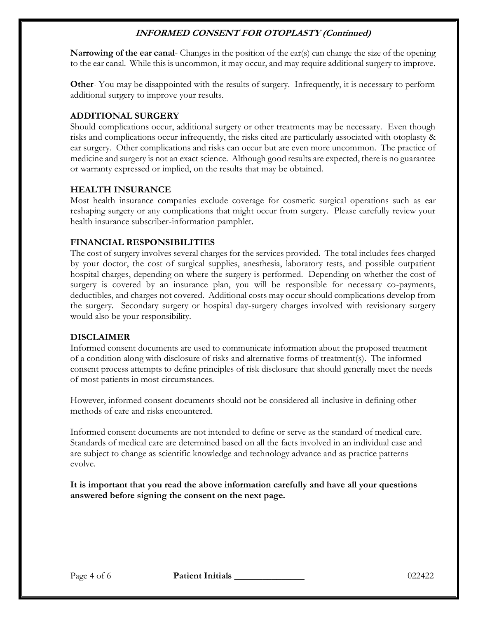**Narrowing of the ear canal**- Changes in the position of the ear(s) can change the size of the opening to the ear canal. While this is uncommon, it may occur, and may require additional surgery to improve.

**Other-** You may be disappointed with the results of surgery. Infrequently, it is necessary to perform additional surgery to improve your results.

### **ADDITIONAL SURGERY**

Should complications occur, additional surgery or other treatments may be necessary. Even though risks and complications occur infrequently, the risks cited are particularly associated with otoplasty & ear surgery. Other complications and risks can occur but are even more uncommon. The practice of medicine and surgery is not an exact science. Although good results are expected, there is no guarantee or warranty expressed or implied, on the results that may be obtained.

#### **HEALTH INSURANCE**

Most health insurance companies exclude coverage for cosmetic surgical operations such as ear reshaping surgery or any complications that might occur from surgery. Please carefully review your health insurance subscriber-information pamphlet.

#### **FINANCIAL RESPONSIBILITIES**

The cost of surgery involves several charges for the services provided. The total includes fees charged by your doctor, the cost of surgical supplies, anesthesia, laboratory tests, and possible outpatient hospital charges, depending on where the surgery is performed. Depending on whether the cost of surgery is covered by an insurance plan, you will be responsible for necessary co-payments, deductibles, and charges not covered. Additional costs may occur should complications develop from the surgery. Secondary surgery or hospital day-surgery charges involved with revisionary surgery would also be your responsibility.

#### **DISCLAIMER**

Informed consent documents are used to communicate information about the proposed treatment of a condition along with disclosure of risks and alternative forms of treatment(s). The informed consent process attempts to define principles of risk disclosure that should generally meet the needs of most patients in most circumstances.

However, informed consent documents should not be considered all-inclusive in defining other methods of care and risks encountered.

Informed consent documents are not intended to define or serve as the standard of medical care. Standards of medical care are determined based on all the facts involved in an individual case and are subject to change as scientific knowledge and technology advance and as practice patterns evolve.

**It is important that you read the above information carefully and have all your questions answered before signing the consent on the next page.**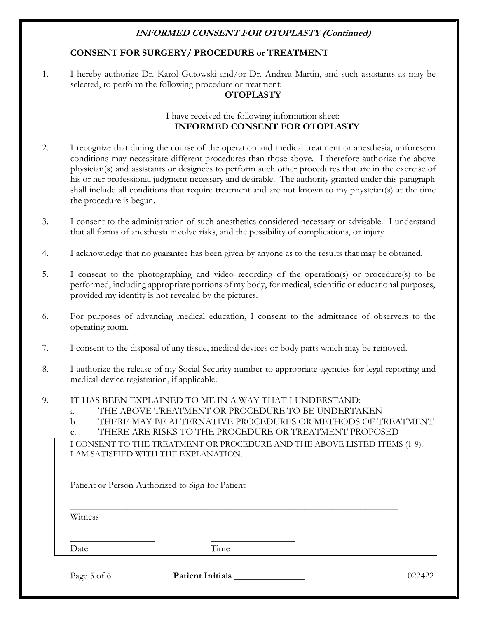#### **CONSENT FOR SURGERY/ PROCEDURE or TREATMENT**

1. I hereby authorize Dr. Karol Gutowski and/or Dr. Andrea Martin, and such assistants as may be selected, to perform the following procedure or treatment:

#### **OTOPLASTY**

#### I have received the following information sheet: **INFORMED CONSENT FOR OTOPLASTY**

- 2. I recognize that during the course of the operation and medical treatment or anesthesia, unforeseen conditions may necessitate different procedures than those above. I therefore authorize the above physician(s) and assistants or designees to perform such other procedures that are in the exercise of his or her professional judgment necessary and desirable. The authority granted under this paragraph shall include all conditions that require treatment and are not known to my physician(s) at the time the procedure is begun.
- 3. I consent to the administration of such anesthetics considered necessary or advisable. I understand that all forms of anesthesia involve risks, and the possibility of complications, or injury.
- 4. I acknowledge that no guarantee has been given by anyone as to the results that may be obtained.
- 5. I consent to the photographing and video recording of the operation(s) or procedure(s) to be performed, including appropriate portions of my body, for medical, scientific or educational purposes, provided my identity is not revealed by the pictures.
- 6. For purposes of advancing medical education, I consent to the admittance of observers to the operating room.
- 7. I consent to the disposal of any tissue, medical devices or body parts which may be removed.
- 8. I authorize the release of my Social Security number to appropriate agencies for legal reporting and medical-device registration, if applicable.
- 9. IT HAS BEEN EXPLAINED TO ME IN A WAY THAT I UNDERSTAND:
	- a. THE ABOVE TREATMENT OR PROCEDURE TO BE UNDERTAKEN
	- b. THERE MAY BE ALTERNATIVE PROCEDURES OR METHODS OF TREATMENT
	- c. THERE ARE RISKS TO THE PROCEDURE OR TREATMENT PROPOSED

\_\_\_\_\_\_\_\_\_\_\_\_\_\_\_\_\_\_\_\_\_\_\_\_\_\_\_\_\_\_\_\_\_\_\_\_\_\_\_\_\_\_\_\_\_\_\_\_\_\_\_\_\_\_\_\_\_\_\_\_\_\_\_\_\_\_\_\_\_\_

\_\_\_\_\_\_\_\_\_\_\_\_\_\_\_\_\_\_\_\_\_\_\_\_\_\_\_\_\_\_\_\_\_\_\_\_\_\_\_\_\_\_\_\_\_\_\_\_\_\_\_\_\_\_\_\_\_\_\_\_\_\_\_\_\_\_\_\_\_\_

I CONSENT TO THE TREATMENT OR PROCEDURE AND THE ABOVE LISTED ITEMS (1-9). I AM SATISFIED WITH THE EXPLANATION.

Patient or Person Authorized to Sign for Patient

\_\_\_\_\_\_\_\_\_\_\_\_\_\_\_\_\_\_ \_\_\_\_\_\_\_\_\_\_\_\_\_\_\_\_\_\_

Witness

Date Time

Page 5 of 6 **Patient Initials** 1022422